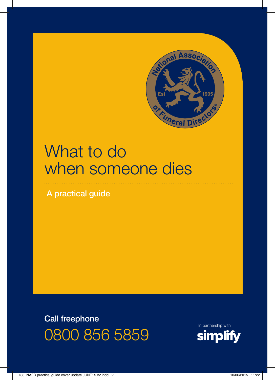

# What to do when someone dies

A practical guide

Call freephone 0800 856 5859

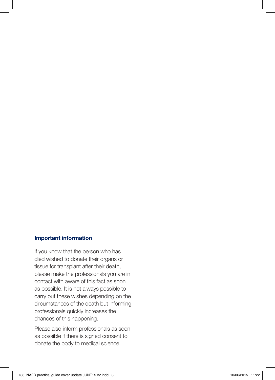#### Important information

If you know that the person who has died wished to donate their organs or tissue for transplant after their death, please make the professionals you are in contact with aware of this fact as soon as possible. It is not always possible to carry out these wishes depending on the circumstances of the death but informing professionals quickly increases the chances of this happening.

Please also inform professionals as soon as possible if there is signed consent to donate the body to medical science.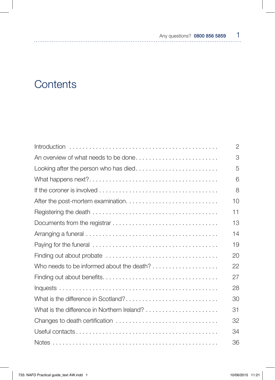# **Contents**

|                                             | 2  |
|---------------------------------------------|----|
| An overview of what needs to be done        | 3  |
| Looking after the person who has died       | 5  |
|                                             | 6  |
|                                             | 8  |
|                                             | 10 |
|                                             | 11 |
|                                             | 13 |
|                                             | 14 |
|                                             | 19 |
|                                             | 20 |
|                                             | 22 |
|                                             | 27 |
|                                             | 28 |
| What is the difference in Scotland?         | 30 |
| What is the difference in Northern Ireland? | 31 |
| Changes to death certification              | 32 |
|                                             | 34 |
|                                             | 36 |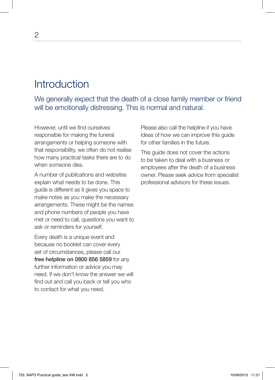# Introduction

We generally expect that the death of a close family member or friend will be emotionally distressing. This is normal and natural.

However, until we find ourselves responsible for making the funeral arrangements or helping someone with that responsibility, we often do not realise how many practical tasks there are to do when someone dies.

A number of publications and websites explain what needs to be done. This guide is different as it gives you space to make notes as you make the necessary arrangements. These might be the names and phone numbers of people you have met or need to call, questions you want to ask or reminders for yourself.

Every death is a unique event and because no booklet can cover every set of circumstances, please call our free helpline on 0800 856 5859 for any further information or advice you may need. If we don't know the answer we will find out and call you back or tell you who to contact for what you need.

Please also call the helpline if you have ideas of how we can improve this guide for other families in the future.

This guide does not cover the actions to be taken to deal with a business or employees after the death of a business owner. Please seek advice from specialist professional advisors for these issues.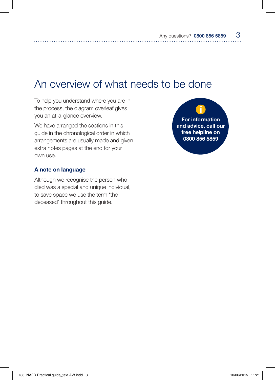# An overview of what needs to be done

To help you understand where you are in the process, the diagram overleaf gives you an at-a-glance overview.

We have arranged the sections in this guide in the chronological order in which arrangements are usually made and given extra notes pages at the end for your own use.

#### A note on language

Although we recognise the person who died was a special and unique individual, to save space we use the term 'the deceased' throughout this guide.

For information and advice, call our free helpline on 0800 856 5859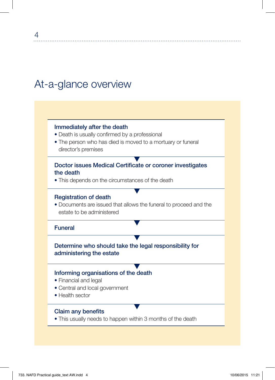# At-a-glance overview

### Immediately after the death

- Death is usually confirmed by a professional
- The person who has died is moved to a mortuary or funeral director's premises

### Doctor issues Medical Certificate or coroner investigates the death

• This depends on the circumstances of the death

#### Registration of death

• Documents are issued that allows the funeral to proceed and the estate to be administered

#### Funeral

# Determine who should take the legal responsibility for administering the estate

#### Informing organisations of the death

- Financial and legal
- Central and local government
- Health sector

#### Claim any benefits

• This usually needs to happen within 3 months of the death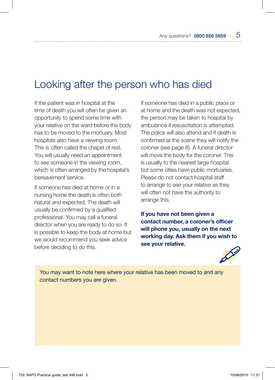# Looking after the person who has died

If the patient was in hospital at the time of death you will often be given an opportunity to spend some time with your relative on the ward before the body has to be moved to the mortuary. Most hospitals also have a viewing room. This is often called the chapel of rest. You will usually need an appointment to see someone in the viewing room, which is often arranged by the hospital's bereavement service.

If someone has died at home or in a nursing home the death is often both natural and expected. The death will usually be confirmed by a qualified professional. You may call a funeral director when you are ready to do so. It is possible to keep the body at home but we would recommend you seek advice before deciding to do this.

If someone has died in a public place or at home and the death was not expected, the person may be taken to hospital by ambulance if resuscitation is attempted. The police will also attend and if death is confirmed at the scene they will notify the coroner (see page 8). A funeral director will move the body for the coroner. This is usually to the nearest large hospital but some cities have public mortuaries. Please do not contact hospital staff to arrange to see your relative as they will often not have the authority to arrange this.

If you have not been given a contact number, a coroner's officer will phone you, usually on the next working day. Ask them if you wish to see your relative.



You may want to note here where your relative has been moved to and any contact numbers you are given.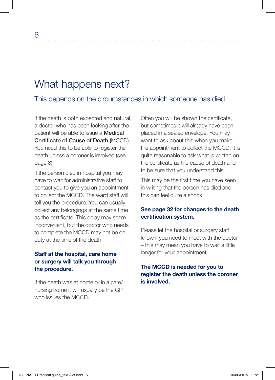# What happens next?

This depends on the circumstances in which someone has died.

If the death is both expected and natural, a doctor who has been looking after the patient will be able to issue a Medical Certificate of Cause of Death (MCCD). You need this to be able to register the death unless a coroner is involved (see page 8).

If the person died in hospital you may have to wait for administrative staff to contact you to give you an appointment to collect the MCCD. The ward staff will tell you the procedure. You can usually collect any belongings at the same time as the certificate. This delay may seem inconvenient, but the doctor who needs to complete the MCCD may not be on duty at the time of the death.

## Staff at the hospital, care home or surgery will talk you through the procedure.

If the death was at home or in a care/ nursing home it will usually be the GP who issues the MCCD.

Often you will be shown the certificate, but sometimes it will already have been placed in a sealed envelope. You may want to ask about this when you make the appointment to collect the MCCD. It is quite reasonable to ask what is written on the certificate as the cause of death and to be sure that you understand this.

This may be the first time you have seen in writing that the person has died and this can feel quite a shock.

### See page 32 for changes to the death certification system.

Please let the hospital or surgery staff know if you need to meet with the doctor – this may mean you have to wait a little longer for your appointment.

### The MCCD is needed for you to register the death unless the coroner is involved.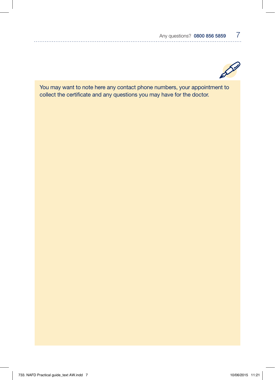

You may want to note here any contact phone numbers, your appointment to collect the certificate and any questions you may have for the doctor.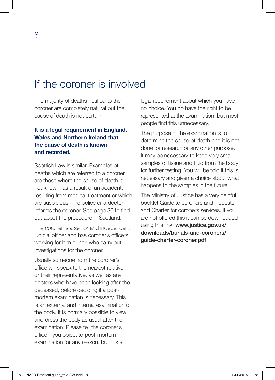# If the coroner is involved

The majority of deaths notified to the coroner are completely natural but the cause of death is not certain.

### It is a legal requirement in England, Wales and Northern Ireland that the cause of death is known and recorded.

Scottish Law is similar. Examples of deaths which are referred to a coroner are those where the cause of death is not known, as a result of an accident, resulting from medical treatment or which are suspicious. The police or a doctor informs the coroner. See page 30 to find out about the procedure in Scotland.

The coroner is a senior and independent judicial officer and has coroner's officers working for him or her, who carry out investigations for the coroner.

Usually someone from the coroner's office will speak to the nearest relative or their representative, as well as any doctors who have been looking after the deceased, before deciding if a postmortem examination is necessary. This is an external and internal examination of the body. It is normally possible to view and dress the body as usual after the examination. Please tell the coroner's office if you object to post-mortem examination for any reason, but it is a

legal requirement about which you have no choice. You do have the right to be represented at the examination, but most people find this unnecessary.

The purpose of the examination is to determine the cause of death and it is not done for research or any other purpose. It may be necessary to keep very small samples of tissue and fluid from the body for further testing. You will be told if this is necessary and given a choice about what happens to the samples in the future.

The Ministry of Justice has a very helpful booklet Guide to coroners and inquests and Charter for coroners services. If you are not offered this it can be downloaded using this link: www.justice.gov.uk/ downloads/burials-and-coroners/ guide-charter-coroner.pdf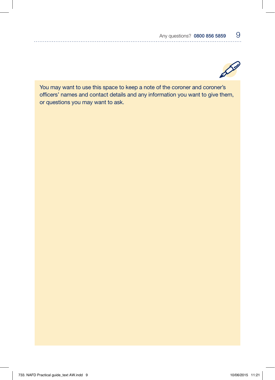

You may want to use this space to keep a note of the coroner and coroner's officers' names and contact details and any information you want to give them, or questions you may want to ask.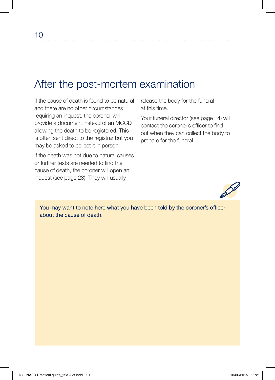# After the post-mortem examination

If the cause of death is found to be natural and there are no other circumstances requiring an inquest, the coroner will provide a document instead of an MCCD allowing the death to be registered. This is often sent direct to the registrar but you may be asked to collect it in person.

If the death was not due to natural causes or further tests are needed to find the cause of death, the coroner will open an inquest (see page 28). They will usually

release the body for the funeral at this time.

Your funeral director (see page 14) will contact the coroner's officer to find out when they can collect the body to prepare for the funeral.



You may want to note here what you have been told by the coroner's officer about the cause of death.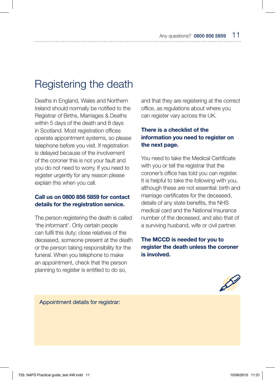# Registering the death

Deaths in England, Wales and Northern Ireland should normally be notified to the Registrar of Births, Marriages & Deaths within 5 days of the death and 8 days in Scotland. Most registration offices operate appointment systems, so please telephone before you visit. If registration is delayed because of the involvement of the coroner this is not your fault and you do not need to worry. If you need to register urgently for any reason please explain this when you call.

#### Call us on 0800 856 5859 for contact details for the registration service.

The person registering the death is called 'the informant'. Only certain people can fulfil this duty; close relatives of the deceased, someone present at the death or the person taking responsibility for the funeral. When you telephone to make an appointment, check that the person planning to register is entitled to do so,

and that they are registering at the correct office, as regulations about where you can register vary across the UK.

### There is a checklist of the information you need to register on the next page.

You need to take the Medical Certificate with you or tell the registrar that the coroner's office has told you can register. It is helpful to take the following with you, although these are not essential: birth and marriage certificates for the deceased, details of any state benefits, the NHS medical card and the National Insurance number of the deceased, and also that of a surviving husband, wife or civil partner.

### The MCCD is needed for you to register the death unless the coroner is involved.



Appointment details for registrar: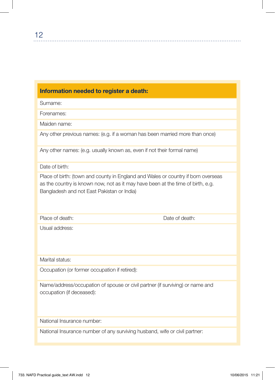### Information needed to register a death:

Surname:

Forenames:

Maiden name:

Any other previous names: (e.g. if a woman has been married more than once)

Any other names: (e.g. usually known as, even if not their formal name)

Date of birth:

Place of birth: (town and county in England and Wales or country if born overseas as the country is known now, not as it may have been at the time of birth, e.g. Bangladesh and not East Pakistan or India)

Place of death: Date of death:

Usual address:

Marital status:

Occupation (or former occupation if retired):

Name/address/occupation of spouse or civil partner (if surviving) or name and occupation (if deceased):

National Insurance number:

National Insurance number of any surviving husband, wife or civil partner: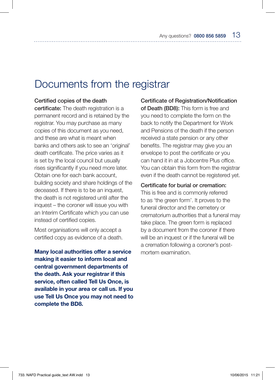# Documents from the registrar

#### Certified copies of the death

certificate: The death registration is a permanent record and is retained by the registrar. You may purchase as many copies of this document as you need, and these are what is meant when banks and others ask to see an 'original' death certificate. The price varies as it is set by the local council but usually rises significantly if you need more later. Obtain one for each bank account, building society and share holdings of the deceased. If there is to be an inquest, the death is not registered until after the inquest – the coroner will issue you with an Interim Certificate which you can use instead of certified copies.

Most organisations will only accept a certified copy as evidence of a death.

Many local authorities offer a service making it easier to inform local and central government departments of the death. Ask your registrar if this service, often called Tell Us Once, is available in your area or call us. If you use Tell Us Once you may not need to complete the BD8.

Certificate of Registration/Notification of Death (BD8): This form is free and you need to complete the form on the back to notify the Department for Work and Pensions of the death if the person received a state pension or any other benefits. The registrar may give you an envelope to post the certificate or you can hand it in at a Jobcentre Plus office. You can obtain this form from the registrar even if the death cannot be registered yet.

#### Certificate for burial or cremation:

This is free and is commonly referred to as 'the green form'. It proves to the funeral director and the cemetery or crematorium authorities that a funeral may take place. The green form is replaced by a document from the coroner if there will be an inquest or if the funeral will be a cremation following a coroner's postmortem examination.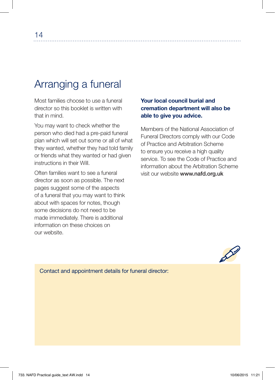# Arranging a funeral

Most families choose to use a funeral director so this booklet is written with that in mind.

You may want to check whether the person who died had a pre-paid funeral plan which will set out some or all of what they wanted, whether they had told family or friends what they wanted or had given instructions in their Will.

Often families want to see a funeral director as soon as possible. The next pages suggest some of the aspects of a funeral that you may want to think about with spaces for notes, though some decisions do not need to be made immediately. There is additional information on these choices on our website.

### Your local council burial and cremation department will also be able to give you advice.

Members of the National Association of Funeral Directors comply with our Code of Practice and Arbitration Scheme to ensure you receive a high quality service. To see the Code of Practice and information about the Arbitration Scheme visit our website www.nafd.org.uk



Contact and appointment details for funeral director: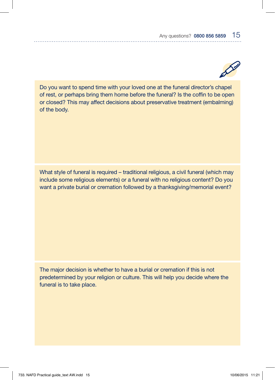

Do you want to spend time with your loved one at the funeral director's chapel of rest, or perhaps bring them home before the funeral? Is the coffin to be open or closed? This may affect decisions about preservative treatment (embalming) of the body.

What style of funeral is required – traditional religious, a civil funeral (which may include some religious elements) or a funeral with no religious content? Do you want a private burial or cremation followed by a thanksgiving/memorial event?

The major decision is whether to have a burial or cremation if this is not predetermined by your religion or culture. This will help you decide where the funeral is to take place.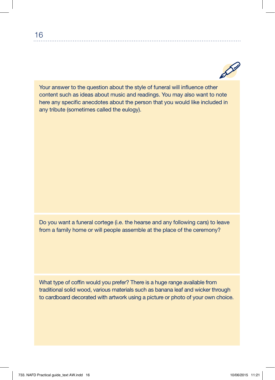Your answer to the question about the style of funeral will influence other content such as ideas about music and readings. You may also want to note here any specific anecdotes about the person that you would like included in any tribute (sometimes called the eulogy).

Do you want a funeral cortege (i.e. the hearse and any following cars) to leave from a family home or will people assemble at the place of the ceremony?

What type of coffin would you prefer? There is a huge range available from traditional solid wood, various materials such as banana leaf and wicker through to cardboard decorated with artwork using a picture or photo of your own choice.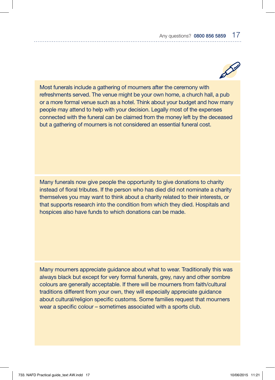

Most funerals include a gathering of mourners after the ceremony with refreshments served. The venue might be your own home, a church hall, a pub or a more formal venue such as a hotel. Think about your budget and how many people may attend to help with your decision. Legally most of the expenses connected with the funeral can be claimed from the money left by the deceased but a gathering of mourners is not considered an essential funeral cost.

Many funerals now give people the opportunity to give donations to charity instead of floral tributes. If the person who has died did not nominate a charity themselves you may want to think about a charity related to their interests, or that supports research into the condition from which they died. Hospitals and hospices also have funds to which donations can be made.

Many mourners appreciate guidance about what to wear. Traditionally this was always black but except for very formal funerals, grey, navy and other sombre colours are generally acceptable. If there will be mourners from faith/cultural traditions different from your own, they will especially appreciate guidance about cultural/religion specific customs. Some families request that mourners wear a specific colour – sometimes associated with a sports club.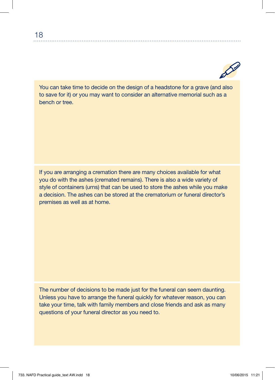

You can take time to decide on the design of a headstone for a grave (and also to save for it) or you may want to consider an alternative memorial such as a bench or tree.

If you are arranging a cremation there are many choices available for what you do with the ashes (cremated remains). There is also a wide variety of style of containers (urns) that can be used to store the ashes while you make a decision. The ashes can be stored at the crematorium or funeral director's premises as well as at home.

The number of decisions to be made just for the funeral can seem daunting. Unless you have to arrange the funeral quickly for whatever reason, you can take your time, talk with family members and close friends and ask as many questions of your funeral director as you need to.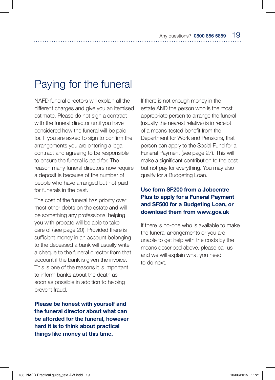# Paying for the funeral

NAFD funeral directors will explain all the different charges and give you an itemised estimate. Please do not sign a contract with the funeral director until you have considered how the funeral will be paid for. If you are asked to sign to confirm the arrangements you are entering a legal contract and agreeing to be responsible to ensure the funeral is paid for. The reason many funeral directors now require a deposit is because of the number of people who have arranged but not paid for funerals in the past.

The cost of the funeral has priority over most other debts on the estate and will be something any professional helping you with probate will be able to take care of (see page 20). Provided there is sufficient money in an account belonging to the deceased a bank will usually write a cheque to the funeral director from that account if the bank is given the invoice. This is one of the reasons it is important to inform banks about the death as soon as possible in addition to helping prevent fraud.

Please be honest with yourself and the funeral director about what can be afforded for the funeral, however hard it is to think about practical things like money at this time.

If there is not enough money in the estate AND the person who is the most appropriate person to arrange the funeral (usually the nearest relative) is in receipt of a means-tested benefit from the Department for Work and Pensions, that person can apply to the Social Fund for a Funeral Payment (see page 27). This will make a significant contribution to the cost but not pay for everything. You may also qualify for a Budgeting Loan.

### Use form SF200 from a Jobcentre Plus to apply for a Funeral Payment and SF500 for a Budgeting Loan, or download them from www.gov.uk

If there is no-one who is available to make the funeral arrangements or you are unable to get help with the costs by the means described above, please call us and we will explain what you need to do next.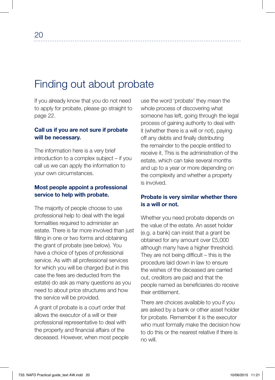# Finding out about probate

If you already know that you do not need to apply for probate, please go straight to page 22.

#### Call us if you are not sure if probate will be necessary.

The information here is a very brief introduction to a complex subject – if you call us we can apply the information to your own circumstances.

#### Most people appoint a professional service to help with probate.

The majority of people choose to use professional help to deal with the legal formalities required to administer an estate. There is far more involved than just filling in one or two forms and obtaining the grant of probate (see below). You have a choice of types of professional service. As with all professional services for which you will be charged (but in this case the fees are deducted from the estate) do ask as many questions as you need to about price structures and how the service will be provided.

A grant of probate is a court order that allows the executor of a will or their professional representative to deal with the property and financial affairs of the deceased. However, when most people use the word 'probate' they mean the whole process of discovering what someone has left, going through the legal process of gaining authority to deal with it (whether there is a will or not), paying off any debts and finally distributing the remainder to the people entitled to receive it. This is the administration of the estate, which can take several months and up to a year or more depending on the complexity and whether a property is involved.

#### Probate is very similar whether there is a will or not.

Whether you need probate depends on the value of the estate. An asset holder (e.g. a bank) can insist that a grant be obtained for any amount over £5,000 although many have a higher threshold. They are not being difficult – this is the procedure laid down in law to ensure the wishes of the deceased are carried out, creditors are paid and that the people named as beneficiaries do receive their entitlement.

There are choices available to you if you are asked by a bank or other asset holder for probate. Remember it is the executor who must formally make the decision how to do this or the nearest relative if there is no will.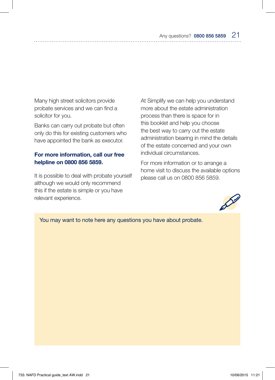Many high street solicitors provide probate services and we can find a solicitor for you.

Banks can carry out probate but often only do this for existing customers who have appointed the bank as executor.

### For more information, call our free helpline on 0800 856 5859.

It is possible to deal with probate yourself although we would only recommend this if the estate is simple or you have relevant experience.

At Simplify we can help you understand more about the estate administration process than there is space for in this booklet and help you choose the best way to carry out the estate administration bearing in mind the details of the estate concerned and your own individual circumstances.

For more information or to arrange a home visit to discuss the available options please call us on 0800 856 5859.



You may want to note here any questions you have about probate.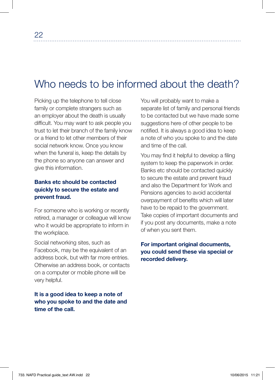# Who needs to be informed about the death?

Picking up the telephone to tell close family or complete strangers such as an employer about the death is usually difficult. You may want to ask people you trust to let their branch of the family know or a friend to let other members of their social network know. Once you know when the funeral is, keep the details by the phone so anyone can answer and give this information.

## Banks etc should be contacted quickly to secure the estate and prevent fraud.

For someone who is working or recently retired, a manager or colleague will know who it would be appropriate to inform in the workplace.

Social networking sites, such as Facebook, may be the equivalent of an address book, but with far more entries. Otherwise an address book, or contacts on a computer or mobile phone will be very helpful.

It is a good idea to keep a note of who you spoke to and the date and time of the call.

You will probably want to make a separate list of family and personal friends to be contacted but we have made some suggestions here of other people to be notified. It is always a good idea to keep a note of who you spoke to and the date and time of the call.

You may find it helpful to develop a filing system to keep the paperwork in order. Banks etc should be contacted quickly to secure the estate and prevent fraud and also the Department for Work and Pensions agencies to avoid accidental overpayment of benefits which will later have to be repaid to the government. Take copies of important documents and if you post any documents, make a note of when you sent them.

# For important original documents, you could send these via special or recorded delivery.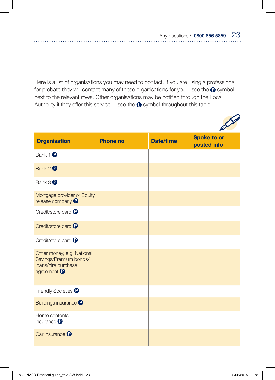Here is a list of organisations you may need to contact. If you are using a professional for probate they will contact many of these organisations for you – see the  $\bullet$  symbol next to the relevant rows. Other organisations may be notified through the Local Authority if they offer this service. – see the  $\bullet$  symbol throughout this table.



| <b>Organisation</b>                                                                                   | <b>Phone no</b> | <b>Date/time</b> | <b>Spoke to or</b><br>posted info |
|-------------------------------------------------------------------------------------------------------|-----------------|------------------|-----------------------------------|
| Bank 1 <sup>0</sup>                                                                                   |                 |                  |                                   |
| Bank 2 <sup>0</sup>                                                                                   |                 |                  |                                   |
| Bank $3 \oplus$                                                                                       |                 |                  |                                   |
| Mortgage provider or Equity<br>release company <sup>p</sup>                                           |                 |                  |                                   |
| Credit/store card <sup>p</sup>                                                                        |                 |                  |                                   |
| Credit/store card <sup>O</sup>                                                                        |                 |                  |                                   |
| Credit/store card <sup>?</sup>                                                                        |                 |                  |                                   |
| Other money, e.g. National<br>Savings/Premium bonds/<br>loans/hire purchase<br>agreement <sup>0</sup> |                 |                  |                                   |
| Friendly Societies <sup>?</sup>                                                                       |                 |                  |                                   |
| <b>Buildings insurance</b>                                                                            |                 |                  |                                   |
| Home contents<br>insurance $\mathbf \Theta$                                                           |                 |                  |                                   |
| Car insurance <sup>?</sup>                                                                            |                 |                  |                                   |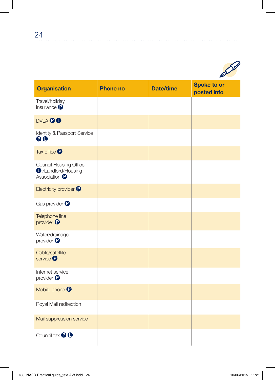

 $\ddotsc$ 

| <b>Organisation</b>                                                              | <b>Phone no</b> | <b>Date/time</b> | <b>Spoke to or</b><br>posted info |
|----------------------------------------------------------------------------------|-----------------|------------------|-----------------------------------|
| Travel/holiday<br>insurance $\mathbf 0$                                          |                 |                  |                                   |
| <b>DVLA © ®</b>                                                                  |                 |                  |                                   |
| Identity & Passport Service<br>$\mathbf{\Theta} \mathbf{O}$                      |                 |                  |                                   |
| Tax office <sup>1</sup>                                                          |                 |                  |                                   |
| Council Housing Office<br><b>O</b> /Landlord/Housing<br>Association <sup>O</sup> |                 |                  |                                   |
| Electricity provider <sup>1</sup>                                                |                 |                  |                                   |
| Gas provider <sup>1</sup>                                                        |                 |                  |                                   |
| Telephone line<br>provider <sup>0</sup>                                          |                 |                  |                                   |
| Water/drainage<br>provider $\bullet$                                             |                 |                  |                                   |
| Cable/satellite<br>service <sup>O</sup>                                          |                 |                  |                                   |
| Internet service<br>provider $\bullet$                                           |                 |                  |                                   |
| Mobile phone <sup>O</sup>                                                        |                 |                  |                                   |
| Royal Mail redirection                                                           |                 |                  |                                   |
| Mail suppression service                                                         |                 |                  |                                   |
| Council tax <b>DO</b>                                                            |                 |                  |                                   |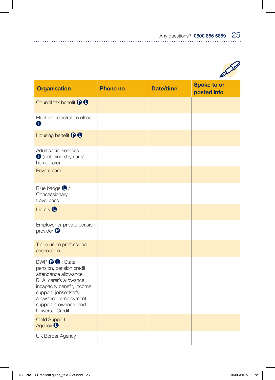

| <b>Organisation</b>                                                                                                                                                                                                                            | <b>Phone no</b> | <b>Date/time</b> | <b>Spoke to or</b><br>posted info |
|------------------------------------------------------------------------------------------------------------------------------------------------------------------------------------------------------------------------------------------------|-----------------|------------------|-----------------------------------|
| Council tax benefit <sup>O</sup> O                                                                                                                                                                                                             |                 |                  |                                   |
| Electoral registration office<br>O                                                                                                                                                                                                             |                 |                  |                                   |
| Housing benefit <sup>O</sup>                                                                                                                                                                                                                   |                 |                  |                                   |
| Adult social services<br>C (including day care/<br>home care)                                                                                                                                                                                  |                 |                  |                                   |
| Private care                                                                                                                                                                                                                                   |                 |                  |                                   |
| Blue badge $\bigcirc$ /<br>Concessionary<br>travel pass                                                                                                                                                                                        |                 |                  |                                   |
| Library <sup>O</sup>                                                                                                                                                                                                                           |                 |                  |                                   |
| Employer or private pension<br>provider $\bullet$                                                                                                                                                                                              |                 |                  |                                   |
| Trade union professional<br>association                                                                                                                                                                                                        |                 |                  |                                   |
| DWP <sup>O</sup> O: State<br>pension, pension credit,<br>attendance allowance,<br>DLA, carer's allowance,<br>incapacity benefit, income<br>support, jobseeker's<br>allowance, employment,<br>support allowance, and<br><b>Universal Credit</b> |                 |                  |                                   |
| <b>Child Support</b><br>Agency <sup>0</sup>                                                                                                                                                                                                    |                 |                  |                                   |
| <b>UK Border Agency</b>                                                                                                                                                                                                                        |                 |                  |                                   |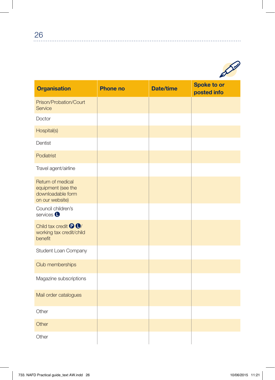

| <b>Organisation</b>                                                             | <b>Phone no</b> | <b>Date/time</b> | <b>Spoke to or</b><br>posted info |
|---------------------------------------------------------------------------------|-----------------|------------------|-----------------------------------|
| Prison/Probation/Court<br>Service                                               |                 |                  |                                   |
| Doctor                                                                          |                 |                  |                                   |
| Hospital(s)                                                                     |                 |                  |                                   |
| Dentist                                                                         |                 |                  |                                   |
| Podiatrist                                                                      |                 |                  |                                   |
| Travel agent/airline                                                            |                 |                  |                                   |
| Return of medical<br>equipment (see the<br>downloadable form<br>on our website) |                 |                  |                                   |
| Council children's<br>services <sup>O</sup>                                     |                 |                  |                                   |
| Child tax credit <sup>O</sup><br>working tax credit/child<br>benefit            |                 |                  |                                   |
| Student Loan Company                                                            |                 |                  |                                   |
| Club memberships                                                                |                 |                  |                                   |
| Magazine subscriptions                                                          |                 |                  |                                   |
| Mail order catalogues                                                           |                 |                  |                                   |
| Other                                                                           |                 |                  |                                   |
| Other                                                                           |                 |                  |                                   |
| Other                                                                           |                 |                  |                                   |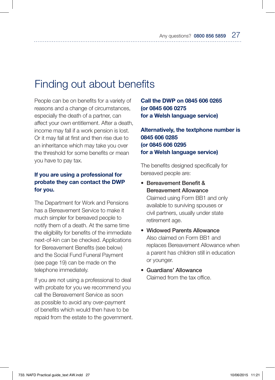# Finding out about benefits

People can be on benefits for a variety of reasons and a change of circumstances, especially the death of a partner, can affect your own entitlement. After a death, income may fall if a work pension is lost. Or it may fall at first and then rise due to an inheritance which may take you over the threshold for some benefits or mean you have to pay tax.

### If you are using a professional for probate they can contact the DWP for you.

The Department for Work and Pensions has a Bereavement Service to make it much simpler for bereaved people to notify them of a death. At the same time the eligibility for benefits of the immediate next-of-kin can be checked. Applications for Bereavement Benefits (see below) and the Social Fund Funeral Payment (see page 19) can be made on the telephone immediately.

If you are not using a professional to deal with probate for you we recommend you call the Bereavement Service as soon as possible to avoid any over-payment of benefits which would then have to be repaid from the estate to the government.

Call the DWP on 0845 606 0265 (or 0845 606 0275 for a Welsh language service)

Alternatively, the textphone number is 0845 606 0285 (or 0845 606 0295 for a Welsh language service)

The benefits designed specifically for bereaved people are:

- Bereavement Benefit & Bereavement Allowance Claimed using Form BB1 and only available to surviving spouses or civil partners, usually under state retirement age.
- Widowed Parents Allowance Also claimed on Form BB1 and replaces Bereavement Allowance when a parent has children still in education or younger.
- Guardians' Allowance Claimed from the tax office.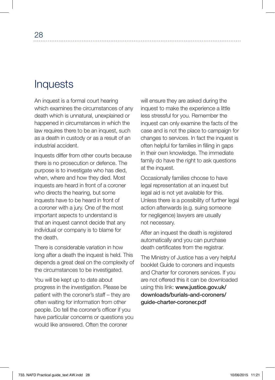# **Inquests**

An inquest is a formal court hearing which examines the circumstances of any death which is unnatural, unexplained or happened in circumstances in which the law requires there to be an inquest, such as a death in custody or as a result of an industrial accident.

Inquests differ from other courts because there is no prosecution or defence. The purpose is to investigate who has died, when, where and how they died. Most inquests are heard in front of a coroner who directs the hearing, but some inquests have to be heard in front of a coroner with a jury. One of the most important aspects to understand is that an inquest cannot decide that any individual or company is to blame for the death.

There is considerable variation in how long after a death the inquest is held. This depends a great deal on the complexity of the circumstances to be investigated.

You will be kept up to date about progress in the investigation. Please be patient with the coroner's staff – they are often waiting for information from other people. Do tell the coroner's officer if you have particular concerns or questions you would like answered. Often the coroner

will ensure they are asked during the inquest to make the experience a little less stressful for you. Remember the inquest can only examine the facts of the case and is not the place to campaign for changes to services. In fact the inquest is often helpful for families in filling in gaps in their own knowledge. The immediate family do have the right to ask questions at the inquest.

Occasionally families choose to have legal representation at an inquest but legal aid is not yet available for this. Unless there is a possibility of further legal action afterwards (e.g. suing someone for negligence) lawyers are usually not necessary.

After an inquest the death is registered automatically and you can purchase death certificates from the registrar.

The Ministry of Justice has a very helpful booklet Guide to coroners and inquests and Charter for coroners services. If you are not offered this it can be downloaded using this link: www.justice.gov.uk/ downloads/burials-and-coroners/ guide-charter-coroner.pdf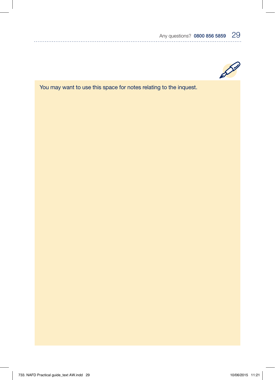

You may want to use this space for notes relating to the inquest.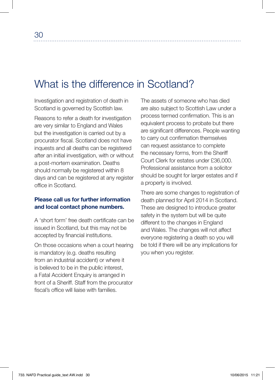# What is the difference in Scotland?

Investigation and registration of death in Scotland is governed by Scottish law.

Reasons to refer a death for investigation are very similar to England and Wales but the investigation is carried out by a procurator fiscal. Scotland does not have inquests and all deaths can be registered after an initial investigation, with or without a post-mortem examination. Deaths should normally be registered within 8 days and can be registered at any register office in Scotland.

#### Please call us for further information and local contact phone numbers.

A 'short form' free death certificate can be issued in Scotland, but this may not be accepted by financial institutions.

On those occasions when a court hearing is mandatory (e.g. deaths resulting from an industrial accident) or where it is believed to be in the public interest, a Fatal Accident Enquiry is arranged in front of a Sheriff. Staff from the procurator fiscal's office will liaise with families.

The assets of someone who has died are also subject to Scottish Law under a process termed confirmation. This is an equivalent process to probate but there are significant differences. People wanting to carry out confirmation themselves can request assistance to complete the necessary forms, from the Sheriff Court Clerk for estates under £36,000. Professional assistance from a solicitor should be sought for larger estates and if a property is involved.

There are some changes to registration of death planned for April 2014 in Scotland. These are designed to introduce greater safety in the system but will be quite different to the changes in England and Wales. The changes will not affect everyone registering a death so you will be told if there will be any implications for you when you register.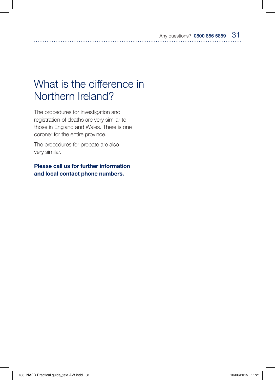# What is the difference in Northern Ireland?

The procedures for investigation and registration of deaths are very similar to those in England and Wales. There is one coroner for the entire province.

The procedures for probate are also very similar.

Please call us for further information and local contact phone numbers.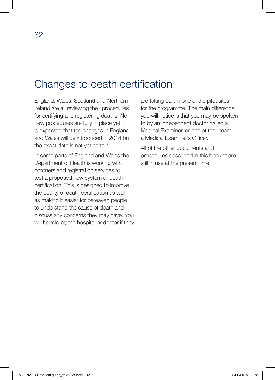# Changes to death certification

England, Wales, Scotland and Northern Ireland are all reviewing their procedures for certifying and registering deaths. No new procedures are fully in place yet. It is expected that the changes in England and Wales will be introduced in 2014 but the exact date is not yet certain.

In some parts of England and Wales the Department of Health is working with coroners and registration services to test a proposed new system of death certification. This is designed to improve the quality of death certification as well as making it easier for bereaved people to understand the cause of death and discuss any concerns they may have. You will be told by the hospital or doctor if they

are taking part in one of the pilot sites for the programme. The main difference you will notice is that you may be spoken to by an independent doctor called a Medical Examiner, or one of their team – a Medical Examiner's Officer.

All of the other documents and procedures described in this booklet are still in use at the present time.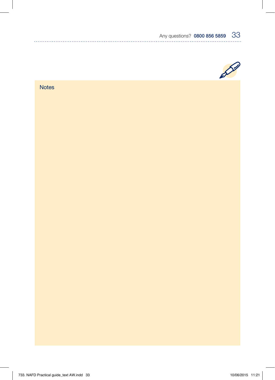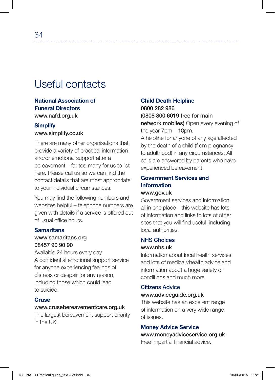# Useful contacts

# National Association of Funeral Directors www.nafd.org.uk

#### **Simplify** www.simplify.co.uk

There are many other organisations that provide a variety of practical information and/or emotional support after a bereavement – far too many for us to list here. Please call us so we can find the contact details that are most appropriate to your individual circumstances.

You may find the following numbers and websites helpful – telephone numbers are given with details if a service is offered out of usual office hours.

### **Samaritans**

#### www.samaritans.org 08457 90 90 90

Available 24 hours every day. A confidential emotional support service for anyone experiencing feelings of distress or despair for any reason, including those which could lead to suicide.

### **Cruse**

#### www.crusebereavementcare.org.uk

The largest bereavement support charity in the UK.

### Child Death Helpline

0800 282 986 (0808 800 6019 free for main network mobiles) Open every evening of the year 7pm – 10pm. A helpline for anyone of any age affected by the death of a child (from pregnancy to adulthood) in any circumstances. All calls are answered by parents who have experienced bereavement.

### Government Services and Information www.gov.uk

Government services and information all in one place – this website has lots of information and links to lots of other sites that you will find useful, including local authorities.

#### NHS Choices

#### www.nhs.uk

Information about local health services and lots of medical//health advice and information about a huge variety of conditions and much more.

# Citizens Advice

# www.adviceguide.org.uk

This website has an excellent range of information on a very wide range of issues.

#### Money Advice Service

www.moneyadviceservice.org.uk Free impartial financial advice.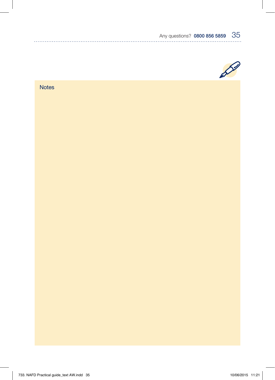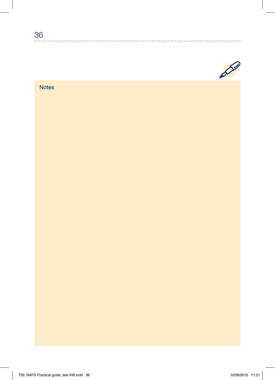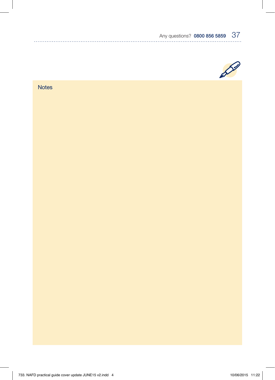